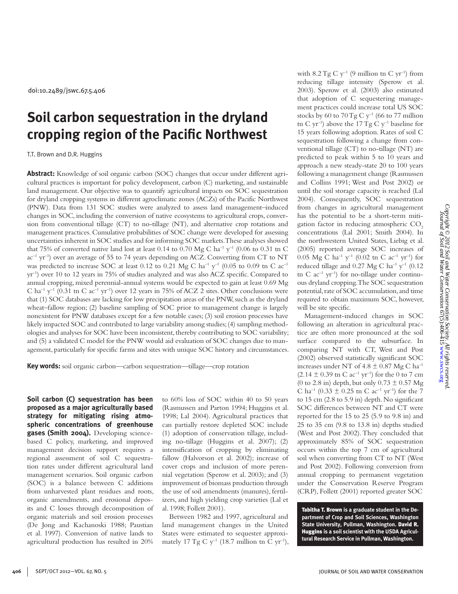doi:10.2489/jswc.67.5.406

# **Soil carbon sequestration in the dryland cropping region of the Pacific Northwest**

T.T. Brown and D.R. Huggins

**Abstract:** Knowledge of soil organic carbon (SOC) changes that occur under different agricultural practices is important for policy development, carbon (C) marketing, and sustainable land management. Our objective was to quantify agricultural impacts on SOC sequestration for dryland cropping systems in different agroclimatic zones (ACZs) of the Pacific Northwest (PNW). Data from 131 SOC studies were analyzed to assess land management–induced changes in SOC, including the conversion of native ecosystems to agricultural crops, conversion from conventional tillage (CT) to no-tillage (NT), and alternative crop rotations and management practices. Cumulative probabilities of SOC change were developed for assessing uncertainties inherent in SOC studies and for informing SOC markets. These analyses showed that 75% of converted native land lost at least 0.14 to 0.70 Mg C ha<sup>-1</sup> y<sup>-1</sup> (0.06 to 0.31 tn C  $ac^{-1}$  yr<sup>-1</sup>) over an average of 55 to 74 years depending on ACZ. Converting from CT to NT was predicted to increase SOC at least 0.12 to 0.21 Mg C ha<sup>-1</sup> y<sup>-1</sup> (0.05 to 0.09 tn C ac<sup>-1</sup> yr–1) over 10 to 12 years in 75% of studies analyzed and was also ACZ specific. Compared to annual cropping, mixed perennial-annual systems would be expected to gain at least 0.69 Mg C ha<sup>-1</sup> y<sup>-1</sup> (0.31 tn C ac<sup>-1</sup> yr<sup>-1</sup>) over 12 years in 75% of ACZ 2 sites. Other conclusions were that (1) SOC databases are lacking for low precipitation areas of the PNW, such as the dryland wheat–fallow region; (2) baseline sampling of SOC prior to management change is largely nonexistent for PNW databases except for a few notable cases; (3) soil erosion processes have likely impacted SOC and contributed to large variability among studies; (4) sampling methodologies and analyses for SOC have been inconsistent, thereby contributing to SOC variability; and (5) a validated C model for the PNW would aid evaluation of SOC changes due to management, particularly for specific farms and sites with unique SOC history and circumstances.

**Key words:** soil organic carbon—carbon sequestration—tillage—crop rotation

**Soil carbon (C) sequestration has been proposed as a major agriculturally based strategy for mitigating rising atmospheric concentrations of greenhouse gases (Smith 2004).** Developing sciencebased C policy, marketing, and improved management decision support requires a regional assessment of soil C sequestration rates under different agricultural land management scenarios. Soil organic carbon (SOC) is a balance between C additions from unharvested plant residues and roots, organic amendments, and erosional deposits and C losses through decomposition of organic materials and soil erosion processes (De Jong and Kachanoski 1988; Paustian et al. 1997). Conversion of native lands to agricultural production has resulted in 20%

to 60% loss of SOC within 40 to 50 years (Rasmussen and Parton 1994; Huggins et al. 1998; Lal 2004). Agricultural practices that can partially restore depleted SOC include (1) adoption of conservation tillage, including no-tillage (Huggins et al. 2007); (2) intensification of cropping by eliminating fallow (Halvorson et al. 2002); increase of cover crops and inclusion of more perennial vegetation (Sperow et al. 2003); and (3) improvement of biomass production through the use of soil amendments (manures), fertilizers, and high yielding crop varieties (Lal et al. 1998; Follett 2001).

Between 1982 and 1997, agricultural and land management changes in the United States were estimated to sequester approximately 17 Tg C  $y^{-1}$  (18.7 million tn C  $yr^{-1}$ ),

with  $8.2 \text{ Tg C y}^{-1}$  (9 million tn C yr<sup>-1</sup>) from reducing tillage intensity (Sperow et al. 2003). Sperow et al. (2003) also estimated that adoption of C sequestering management practices could increase total US SOC stocks by 60 to  $70 \text{ Tg C y}^{-1}$  (66 to 77 million tn C yr<sup>-1</sup>) above the 17 Tg C y<sup>-1</sup> baseline for 15 years following adoption. Rates of soil C sequestration following a change from conventional tillage (CT) to no-tillage (NT) are predicted to peak within 5 to 10 years and approach a new steady-state 20 to 100 years following a management change (Rasmussen and Collins 1991; West and Post 2002) or until the soil storage capacity is reached (Lal 2004). Consequently, SOC sequestration from changes in agricultural management has the potential to be a short-term mitigation factor in reducing atmospheric CO<sub>2</sub> concentrations (Lal 2001; Smith 2004). In the northwestern United States, Liebig et al. (2005) reported average SOC increases of 0.05 Mg C ha<sup>-1</sup> y<sup>-1</sup> (0.02 tn C ac<sup>-1</sup> yr<sup>-1</sup>) for reduced tillage and 0.27 Mg C ha<sup>-1</sup> y<sup>-1</sup> (0.12 tn C  $ac^{-1}$  yr<sup>-1</sup>) for no-tillage under continuous dryland cropping. The SOC sequestration potential, rate of SOC accumulation, and time required to obtain maximum SOC, however, will be site specific.

Management-induced changes in SOC following an alteration in agricultural practice are often more pronounced at the soil surface compared to the subsurface. In comparing NT with CT, West and Post (2002) observed statistically significant SOC increases under NT of  $4.8 \pm 0.87$  Mg C ha<sup>-1</sup>  $(2.14 \pm 0.39 \text{ m C} \text{ ac}^{-1} \text{ yr}^{-1})$  for the 0 to 7 cm (0 to 2.8 in) depth, but only  $0.73 \pm 0.57$  Mg C ha<sup>-1</sup> (0.33  $\pm$  0.25 tn C ac<sup>-1</sup> yr<sup>-1</sup>) for the 7 to 15 cm (2.8 to 5.9 in) depth. No significant SOC differences between NT and CT were reported for the 15 to 25 (5.9 to 9.8 in) and 25 to 35 cm (9.8 to 13.8 in) depths studied (West and Post 2002). They concluded that approximately 85% of SOC sequestration occurs within the top 7 cm of agricultural soil when converting from CT to NT (West and Post 2002). Following conversion from annual cropping to permanent vegetation under the Conservation Reserve Program (CRP), Follett (2001) reported greater SOC

Tabitha T. Brown **is a graduate student in the Department of Crop and Soil Sciences, Washington State University, Pullman, Washington.** David R. Huggins **is a soil scientist with the USDA Agricultural Research Service in Pullman, Washington.**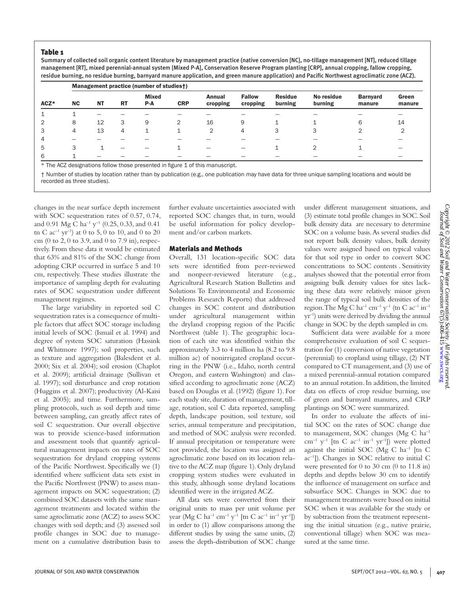#### Table 1

Summary of collected soil organic content literature by management practice (native conversion [NC], no-tillage management [NT], reduced tillage management [RT], mixed perennial-annual system [Mixed P-A], Conservation Reserve Program planting [CRP], annual cropping, fallow cropping, residue burning, no residue burning, barnyard manure application, and green manure application) and Pacific Northwest agroclimatic zone (ACZ).

| ACZ* | Management practice (number of studies†) |           |           |                     |            |                    |                           |                           |                       |                           |                 |  |
|------|------------------------------------------|-----------|-----------|---------------------|------------|--------------------|---------------------------|---------------------------|-----------------------|---------------------------|-----------------|--|
|      | <b>NC</b>                                | <b>NT</b> | <b>RT</b> | <b>Mixed</b><br>P-A | <b>CRP</b> | Annual<br>cropping | <b>Fallow</b><br>cropping | <b>Residue</b><br>burning | No residue<br>burning | <b>Barnyard</b><br>manure | Green<br>manure |  |
|      |                                          |           |           |                     |            |                    |                           |                           |                       |                           |                 |  |
|      | 8                                        | 12        | 3         | 9                   |            | 16                 | 9                         |                           |                       | 6                         | 14              |  |
|      | 4                                        | 13        | 4         |                     |            | $\overline{2}$     | 4                         | 3                         | 3                     | ⌒                         | $\overline{2}$  |  |
|      |                                          |           |           |                     |            |                    |                           |                           |                       |                           |                 |  |
| 5    | 3                                        |           |           |                     |            |                    |                           |                           | ⌒                     |                           |                 |  |
| 6    |                                          |           |           |                     |            |                    |                           |                           |                       |                           |                 |  |

\* The ACZ designations follow those presented in figure 1 of this manuscript.

† Number of studies by location rather than by publication (e.g., one publication may have data for three unique sampling locations and would be recorded as three studies).

changes in the near surface depth increment with SOC sequestration rates of 0.57, 0.74, and 0.91 Mg C ha<sup>-1</sup> y<sup>-1</sup> (0.25, 0.33, and 0.41 tn C  $ac^{-1}$  yr<sup>-1</sup>) at 0 to 5, 0 to 10, and 0 to 20 cm (0 to 2, 0 to 3.9, and 0 to 7.9 in), respectively. From these data it would be estimated that 63% and 81% of the SOC change from adopting CRP occurred in surface 5 and 10 cm, respectively. These studies illustrate the importance of sampling depth for evaluating rates of SOC sequestration under different management regimes.

The large variability in reported soil C sequestration rates is a consequence of multiple factors that affect SOC storage including initial levels of SOC (Ismail et al. 1994) and degree of system SOC saturation (Hassink and Whitmore 1997); soil properties, such as texture and aggregation (Balesdent et al. 2000; Six et al. 2004); soil erosion (Chaplot et al. 2009); artificial drainage (Sullivan et al. 1997); soil disturbance and crop rotation (Huggins et al. 2007); productivity (Al-Kaisi et al. 2005); and time. Furthermore, sampling protocols, such as soil depth and time between sampling, can greatly affect rates of soil C sequestration. Our overall objective was to provide science-based information and assessment tools that quantify agricultural management impacts on rates of SOC sequestration for dryland cropping systems of the Pacific Northwest. Specifically we (1) identified where sufficient data sets exist in the Pacific Northwest (PNW) to assess management impacts on SOC sequestration; (2) combined SOC datasets with the same management treatments and located within the same agroclimatic zone (ACZ) to assess SOC changes with soil depth; and (3) assessed soil profile changes in SOC due to management on a cumulative distribution basis to

further evaluate uncertainties associated with reported SOC changes that, in turn, would be useful information for policy development and/or carbon markets.

#### Materials and Methods

Overall, 131 location-specific SOC data sets were identified from peer-reviewed and nonpeer-reviewed literature (e.g., Agricultural Research Station Bulletins and Solutions To Environmental and Economic Problems Research Reports) that addressed changes in SOC content and distribution under agricultural management within the dryland cropping region of the Pacific Northwest (table 1). The geographic location of each site was identified within the approximately 3.3 to 4 million ha (8.2 to 9.8 million ac) of nonirrigated cropland occurring in the PNW (i.e., Idaho, north central Oregon, and eastern Washington) and classified according to agroclimatic zone (ACZ) based on Douglas et al. (1992) (figure 1). For each study site, duration of management, tillage, rotation, soil C data reported, sampling depth, landscape position, soil texture, soil series, annual temperature and precipitation, and method of SOC analysis were recorded. If annual precipitation or temperature were not provided, the location was assigned an agroclimatic zone based on its location relative to the ACZ map (figure 1). Only dryland cropping system studies were evaluated in this study, although some dryland locations identified were in the irrigated ACZ.

All data sets were converted from their original units to mass per unit volume per year (Mg C ha<sup>-1</sup> cm<sup>-1</sup> y<sup>-1</sup> [tn C ac<sup>-1</sup> in<sup>-1</sup> yr<sup>-1</sup>]) in order to (1) allow comparisons among the different studies by using the same units, (2) assess the depth-distribution of SOC change

under different management situations, and (3) estimate total profile changes in SOC. Soil bulk density data are necessary to determine SOC on a volume basis. As several studies did not report bulk density values, bulk density values were assigned based on typical values for that soil type in order to convert SOC concentrations to SOC contents . Sensitivity analyses showed that the potential error from assigning bulk density values for sites lacking these data were relatively minor given the range of typical soil bulk densities of the region. The Mg C ha<sup>-1</sup> cm<sup>-1</sup> y<sup>-1</sup> (tn C ac<sup>-1</sup> in<sup>-1</sup> yr–1) units were derived by dividing the annual change in SOC by the depth sampled in cm.

Sufficient data were available for a more comprehensive evaluation of soil C sequestration for (1) conversion of native vegetation (perennial) to cropland using tillage, (2) NT compared to CT management, and (3) use of a mixed perennial-annual rotation compared to an annual rotation. In addition, the limited data on effects of crop residue burning, use of green and barnyard manures, and CRP plantings on SOC were summarized.

In order to evaluate the affects of initial SOC on the rates of SOC change due to management, SOC changes (Mg C ha–1 cm<sup>-1</sup> y<sup>-1</sup> [tn C ac<sup>-1</sup> in<sup>-1</sup> yr<sup>-1</sup>]) were plotted against the initial SOC ( $Mg$  C ha<sup>-1</sup> [tn C ac–1]). Changes in SOC relative to initial C were presented for 0 to 30 cm (0 to 11.8 in) depths and depths below 30 cm to identify the influence of management on surface and subsurface SOC. Changes in SOC due to management treatments were based on initial SOC when it was available for the study or by subtraction from the treatment representing the initial situation (e.g., native prairie, conventional tillage) when SOC was measured at the same time.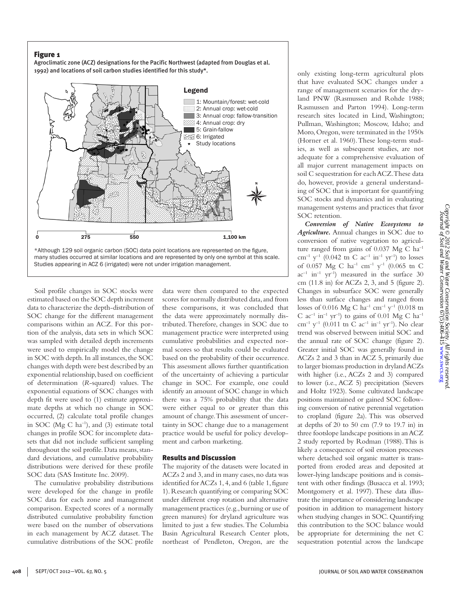Agroclimatic zone (ACZ) designations for the Pacific Northwest (adapted from Douglas et al. 1992) and locations of soil carbon studies identified for this study\*.



Soil profile changes in SOC stocks were estimated based on the SOC depth increment data to characterize the depth-distribution of SOC change for the different management comparisons within an ACZ. For this portion of the analysis, data sets in which SOC was sampled with detailed depth increments were used to empirically model the change in SOC with depth. In all instances, the SOC changes with depth were best described by an exponential relationship, based on coefficient of determination (*R*-squared) values. The exponential equations of SOC changes with depth fit were used to (1) estimate approximate depths at which no change in SOC occurred, (2) calculate total profile changes in SOC ( $Mg \text{ C}$  ha<sup>-1</sup>), and (3) estimate total changes in profile SOC for incomplete datasets that did not include sufficient sampling throughout the soil profile. Data means, standard deviations, and cumulative probability distributions were derived for these profile SOC data (SAS Institute Inc. 2009).

The cumulative probability distributions were developed for the change in profile SOC data for each zone and management comparison. Expected scores of a normally distributed cumulative probability function were based on the number of observations in each management by ACZ dataset. The cumulative distributions of the SOC profile data were then compared to the expected scores for normally distributed data, and from these comparisons, it was concluded that the data were approximately normally distributed. Therefore, changes in SOC due to management practice were interpreted using cumulative probabilities and expected normal scores so that results could be evaluated based on the probability of their occurrence. This assessment allows further quantification of the uncertainty of achieving a particular change in SOC. For example, one could identify an amount of SOC change in which there was a 75% probability that the data were either equal to or greater than this amount of change. This assessment of uncertainty in SOC change due to a management practice would be useful for policy development and carbon marketing.

#### Results and Discussion

The majority of the datasets were located in ACZs 2 and 3, and in many cases, no data was identified for ACZs 1, 4, and 6 (table 1, figure 1). Research quantifying or comparing SOC under different crop rotation and alternative management practices (e.g., burning or use of green manures) for dryland agriculture was limited to just a few studies. The Columbia Basin Agricultural Research Center plots, northeast of Pendleton, Oregon, are the

only existing long-term agricultural plots that have evaluated SOC changes under a range of management scenarios for the dryland PNW (Rasmussen and Rohde 1988; Rasmussen and Parton 1994). Long-term research sites located in Lind, Washington; Pullman, Washington; Moscow, Idaho; and Moro, Oregon, were terminated in the 1950s (Horner et al. 1960). These long-term studies, as well as subsequent studies, are not adequate for a comprehensive evaluation of all major current management impacts on soil C sequestration for each ACZ. These data do, however, provide a general understanding of SOC that is important for quantifying SOC stocks and dynamics and in evaluating management systems and practices that favor SOC retention.

*Conversion of Native Ecosystems to Agriculture.* Annual changes in SOC due to conversion of native vegetation to agriculture ranged from gains of  $0.037 \text{ Mg C} \text{ ha}^{-1}$ cm<sup>-1</sup> y<sup>-1</sup> (0.042 tn C ac<sup>-1</sup> in<sup>-1</sup> yr<sup>-1</sup>) to losses of 0.057 Mg C ha–1 cm–1 y–1 (0.065 tn C  $ac^{-1}$  in<sup>-1</sup> yr<sup>-1</sup>) measured in the surface 30 cm (11.8 in) for ACZs 2, 3, and 5 (figure 2). Changes in subsurface SOC were generally less than surface changes and ranged from losses of 0.016 Mg C ha<sup>-1</sup> cm<sup>-1</sup> y<sup>-1</sup> (0.018 tn C  $ac^{-1}$  in<sup>-1</sup> yr<sup>-1</sup>) to gains of 0.01 Mg C ha<sup>-1</sup> cm<sup>-1</sup> y<sup>-1</sup> (0.011 tn C ac<sup>-1</sup> in<sup>-1</sup> yr<sup>-1</sup>). No clear trend was observed between initial SOC and the annual rate of SOC change (figure 2). Greater initial SOC was generally found in ACZs 2 and 3 than in ACZ 5, primarily due to larger biomass production in dryland ACZs with higher (i.e., ACZs 2 and 3) compared to lower (i.e., ACZ 5) precipitation (Sievers and Holtz 1923). Some cultivated landscape positions maintained or gained SOC following conversion of native perennial vegetation to cropland (figure 2a). This was observed at depths of 20 to 50 cm (7.9 to 19.7 in) in three footslope landscape positions in an ACZ 2 study reported by Rodman (1988). This is likely a consequence of soil erosion processes where detached soil organic matter is transported from eroded areas and deposited at lower-lying landscape positions and is consistent with other findings (Busacca et al. 1993; Montgomery et al. 1997). These data illustrate the importance of considering landscape position in addition to management history when studying changes in SOC. Quantifying this contribution to the SOC balance would be appropriate for determining the net C sequestration potential across the landscape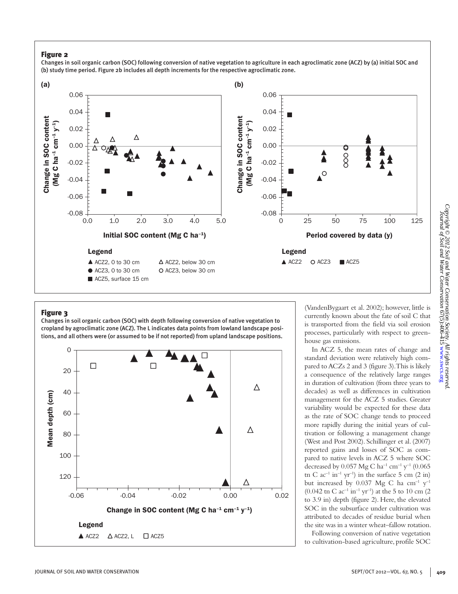Changes in soil organic carbon (SOC) following conversion of native vegetation to agriculture in each agroclimatic zone (ACZ) by (a) initial SOC and (b) study time period. Figure 2b includes all depth increments for the respective agroclimatic zone.



## Figure 3

Changes in soil organic carbon (SOC) with depth following conversion of native vegetation to cropland by agroclimatic zone (ACZ). The L indicates data points from lowland landscape positions, and all others were (or assumed to be if not reported) from upland landscape positions.



(VandenBygaart et al. 2002); however, little is currently known about the fate of soil C that is transported from the field via soil erosion processes, particularly with respect to greenhouse gas emissions.

In ACZ 5, the mean rates of change and standard deviation were relatively high compared to ACZs 2 and 3 (figure 3). This is likely a consequence of the relatively large ranges in duration of cultivation (from three years to decades) as well as differences in cultivation management for the ACZ 5 studies. Greater variability would be expected for these data as the rate of SOC change tends to proceed more rapidly during the initial years of cultivation or following a management change (West and Post 2002). Schillinger et al. (2007) reported gains and losses of SOC as compared to native levels in ACZ 5 where SOC decreased by 0.057 Mg C ha<sup>-1</sup> cm<sup>-1</sup> y<sup>-1</sup> (0.065) tn C  $ac^{-1}$  in<sup>-1</sup> yr<sup>-1</sup>) in the surface 5 cm (2 in) but increased by 0.037 Mg C ha  $cm^{-1}$  y<sup>-1</sup> (0.042 tn C  $ac^{-1}$  in<sup>-1</sup> yr<sup>-1</sup>) at the 5 to 10 cm (2) to 3.9 in) depth (figure 2). Here, the elevated SOC in the subsurface under cultivation was attributed to decades of residue burial when the site was in a winter wheat–fallow rotation.

Following conversion of native vegetation to cultivation-based agriculture, profile SOC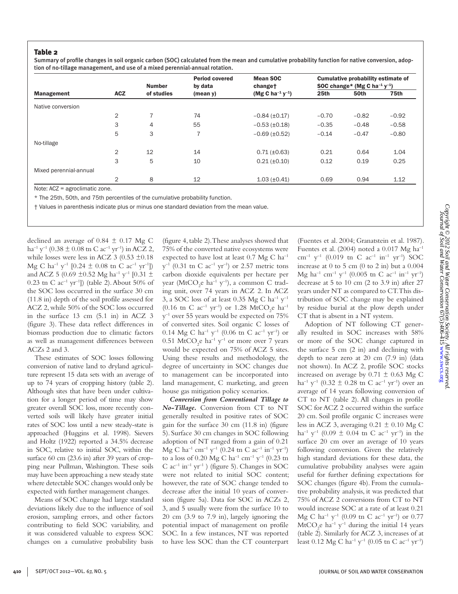#### Table 2

Summary of profile changes in soil organic carbon (SOC) calculated from the mean and cumulative probability function for native conversion, adoption of no-tillage management, and use of a mixed perennial-annual rotation.

|                        |                | <b>Number</b><br>of studies | <b>Period covered</b><br>by data<br>(mean y) | <b>Mean SOC</b><br>changet               | <b>Cumulative probability estimate of</b><br>SOC change* (Mg C ha <sup>-1</sup> $y$ <sup>-1</sup> ) |         |         |
|------------------------|----------------|-----------------------------|----------------------------------------------|------------------------------------------|-----------------------------------------------------------------------------------------------------|---------|---------|
| <b>Management</b>      | <b>ACZ</b>     |                             |                                              | (Mg C ha <sup>-1</sup> y <sup>-1</sup> ) | 25th                                                                                                | 50th    | 75th    |
| Native conversion      |                |                             |                                              |                                          |                                                                                                     |         |         |
|                        | $\overline{2}$ | $\overline{7}$              | 74                                           | $-0.84$ ( $\pm 0.17$ )                   | $-0.70$                                                                                             | $-0.82$ | $-0.92$ |
|                        | 3              | 4                           | 55                                           | $-0.53$ ( $\pm 0.18$ )                   | $-0.35$                                                                                             | $-0.48$ | $-0.58$ |
|                        | 5              | 3                           | 7                                            | $-0.69$ ( $\pm 0.52$ )                   | $-0.14$                                                                                             | $-0.47$ | $-0.80$ |
| No-tillage             |                |                             |                                              |                                          |                                                                                                     |         |         |
|                        | $\overline{2}$ | 12                          | 14                                           | $0.71 (\pm 0.63)$                        | 0.21                                                                                                | 0.64    | 1.04    |
|                        | 3              | 5                           | 10                                           | $0.21 (\pm 0.10)$                        | 0.12                                                                                                | 0.19    | 0.25    |
| Mixed perennial-annual |                |                             |                                              |                                          |                                                                                                     |         |         |
|                        | $\overline{2}$ | 8                           | 12                                           | $1.03 (\pm 0.41)$                        | 0.69                                                                                                | 0.94    | 1.12    |

Note: ACZ = agroclimatic zone.

\* The 25th, 50th, and 75th percentiles of the cumulative probability function.

† Values in parenthesis indicate plus or minus one standard deviation from the mean value.

declined an average of  $0.84 \pm 0.17$  Mg C ha<sup>-1</sup> y<sup>-1</sup> (0.38  $\pm$  0.08 tn C ac<sup>-1</sup> yr<sup>-1</sup>) in ACZ 2, while losses were less in ACZ 3 (0.53  $\pm$ 0.18) Mg C ha<sup>-1</sup> y<sup>-1</sup> [0.24  $\pm$  0.08 tn C ac<sup>-1</sup> yr<sup>-1</sup>]) and ACZ 5 (0.69  $\pm$ 0.52 Mg ha<sup>-1</sup> y<sup>-1</sup> [0.31  $\pm$ 0.23 tn C ac<sup>-1</sup> yr<sup>-1</sup>]) (table 2). About 50% of the SOC loss occurred in the surface 30 cm (11.8 in) depth of the soil profile assessed for ACZ 2, while 50% of the SOC loss occurred in the surface 13 cm (5.1 in) in ACZ 3 (figure 3). These data reflect differences in biomass production due to climatic factors as well as management differences between ACZs 2 and 3.

These estimates of SOC losses following conversion of native land to dryland agriculture represent 15 data sets with an average of up to 74 years of cropping history (table 2). Although sites that have been under cultivation for a longer period of time may show greater overall SOC loss, more recently converted soils will likely have greater initial rates of SOC loss until a new steady-state is approached (Huggins et al. 1998). Sievers and Holtz (1922) reported a 34.5% decrease in SOC, relative to initial SOC, within the surface 60 cm (23.6 in) after 39 years of cropping near Pullman, Washington. These soils may have been approaching a new steady state where detectable SOC changes would only be expected with further management changes.

Means of SOC change had large standard deviations likely due to the influence of soil erosion, sampling errors, and other factors contributing to field SOC variability, and it was considered valuable to express SOC changes on a cumulative probability basis (figure 4, table 2). These analyses showed that 75% of the converted native ecosystems were expected to have lost at least  $0.7 \text{ Mg C} \text{ ha}^{-1}$  $y^{-1}$  (0.31 tn C ac<sup>-1</sup> yr<sup>-1</sup>) or 2.57 metric tons carbon dioxide equivalents per hectare per year (MtCO<sub>2</sub>e ha<sup>-1</sup> y<sup>-1</sup>), a common C trading unit, over 74 years in ACZ 2. In ACZ 3, a SOC loss of at least 0.35 Mg C ha<sup>-1</sup>  $y$ <sup>-1</sup> (0.16 tn C  $ac^{-1}$  yr<sup>-1</sup>) or 1.28 MtCO<sub>2</sub>e ha<sup>-1</sup>  $y^{-1}$  over 55 years would be expected on 75% of converted sites. Soil organic C losses of 0.14 Mg C ha<sup>-1</sup> y<sup>-1</sup> (0.06 tn C ac<sup>-1</sup> yr<sup>-1</sup>) or  $0.51 \text{ MtCO}_2$ e ha<sup>-1</sup> y<sup>-1</sup> or more over 7 years would be expected on 75% of ACZ 5 sites. Using these results and methodology, the degree of uncertainty in SOC changes due to management can be incorporated into land management, C marketing, and green house gas mitigation policy scenarios.

*Conversion from Conventional Tillage to No-Tillage.* Conversion from CT to NT generally resulted in positive rates of SOC gain for the surface 30 cm (11.8 in) (figure 5). Surface 30 cm changes in SOC following adoption of NT ranged from a gain of 0.21 Mg C ha<sup>-1</sup> cm<sup>-1</sup> y<sup>-1</sup> (0.24 tn C ac<sup>-1</sup> in<sup>-1</sup> yr<sup>-1</sup>) to a loss of 0.20 Mg C ha<sup>-1</sup> cm<sup>-1</sup> y<sup>-1</sup> (0.23 tn C  $ac^{-1}$  in<sup>-1</sup> yr<sup>-1</sup> ) (figure 5). Changes in SOC were not related to initial SOC content; however, the rate of SOC change tended to decrease after the initial 10 years of conversion (figure 5a). Data for SOC in ACZs 2, 3, and 5 usually were from the surface 10 to 20 cm (3.9 to 7.9 in), largely ignoring the potential impact of management on profile SOC. In a few instances, NT was reported to have less SOC than the CT counterpart (Fuentes et al. 2004; Granatstein et al. 1987). Fuentes et al. (2004) noted a  $0.017 \text{ Mg} \text{ ha}^{-1}$ cm<sup>-1</sup> y<sup>-1</sup> (0.019 tn C ac<sup>-1</sup> in<sup>-1</sup> yr<sup>-1</sup>) SOC increase at 0 to 5 cm (0 to 2 in) but a 0.004 Mg ha<sup>-1</sup> cm<sup>-1</sup> y<sup>-1</sup> (0.005 tn C ac<sup>-1</sup> in<sup>-1</sup> yr<sup>-1</sup>) decrease at 5 to 10 cm (2 to 3.9 in) after 27 years under NT as compared to CT. This distribution of SOC change may be explained by residue burial at the plow depth under CT that is absent in a NT system.

Adoption of NT following CT generally resulted in SOC increases with 58% or more of the SOC change captured in the surface 5 cm (2 in) and declining with depth to near zero at 20 cm (7.9 in) (data not shown). In ACZ 2, profile SOC stocks increased on average by  $0.71 \pm 0.63$  Mg C ha<sup>-1</sup> y<sup>-1</sup> (0.32  $\pm$  0.28 tn C ac<sup>-1</sup> yr<sup>-1</sup>) over an average of 14 years following conversion of CT to NT (table 2). All changes in profile SOC for ACZ 2 occurred within the surface 20 cm. Soil profile organic C increases were less in ACZ 3, averaging  $0.21 \pm 0.10$  Mg C ha<sup>-1</sup> y<sup>-1</sup> (0.09  $\pm$  0.04 tn C ac<sup>-1</sup> yr<sup>-1</sup>) in the surface 20 cm over an average of 10 years following conversion. Given the relatively high standard deviations for these data, the cumulative probability analyses were again useful for further defining expectations for SOC changes (figure 4b). From the cumulative probability analysis, it was predicted that 75% of ACZ 2 conversions from CT to NT would increase SOC at a rate of at least 0.21 Mg C ha<sup>-1</sup> y<sup>-1</sup> (0.09 tn C ac<sup>-1</sup> yr<sup>-1</sup>) or 0.77  $\mathrm{MtCO}_{2}$ e ha<sup>-1</sup> y<sup>-1</sup> during the initial 14 years (table 2). Similarly for ACZ 3, increases of at least 0.12 Mg C ha<sup>-1</sup> y<sup>-1</sup> (0.05 tn C ac<sup>-1</sup> yr<sup>-1</sup>)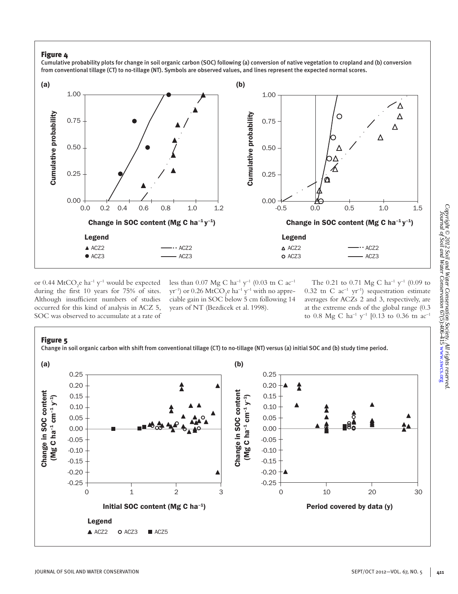Cumulative probability plots for change in soil organic carbon (SOC) following (a) conversion of native vegetation to cropland and (b) conversion from conventional tillage (CT) to no-tillage (NT). Symbols are observed values, and lines represent the expected normal scores.



or 0.44  $\mathrm{MtCO}_{2}$ e ha<sup>-1</sup> y<sup>-1</sup> would be expected during the first 10 years for 75% of sites. Although insufficient numbers of studies occurred for this kind of analysis in ACZ 5, SOC was observed to accumulate at a rate of less than 0.07 Mg C ha<sup>-1</sup> y<sup>-1</sup> (0.03 tn C ac<sup>-1</sup>  $\rm{yr}^{-1}$ ) or 0.26 MtCO<sub>2</sub>e ha<sup>-1</sup> y<sup>-1</sup> with no appreciable gain in SOC below 5 cm following 14 years of NT (Bezdicek et al. 1998).

The 0.21 to 0.71 Mg C ha<sup>-1</sup> y<sup>-1</sup> (0.09 to 0.32 tn C  $ac^{-1}$  yr<sup>-1</sup>) sequestration estimate averages for ACZs 2 and 3, respectively, are at the extreme ends of the global range (0.3 to 0.8 Mg C ha<sup>-1</sup> y<sup>-1</sup> [0.13 to 0.36 tn ac<sup>-1</sup>

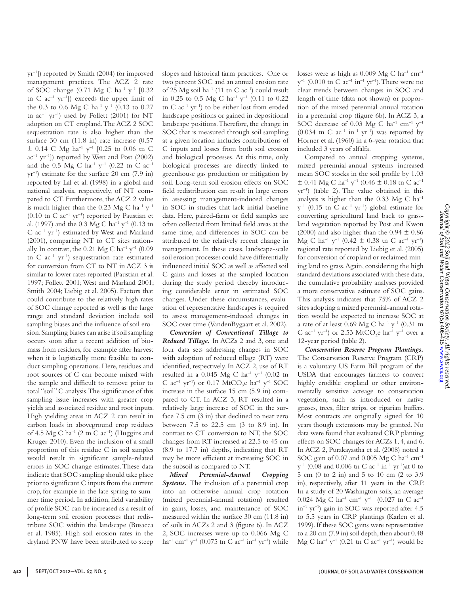yr–1]) reported by Smith (2004) for improved management practices. The ACZ 2 rate of SOC change (0.71 Mg C ha<sup>-1</sup> y<sup>-1</sup> [0.32 tn C  $ac^{-1}$  yr<sup>-1</sup>]) exceeds the upper limit of the 0.3 to 0.6 Mg C ha<sup>-1</sup> y<sup>-1</sup> (0.13 to 0.27 tn  $ac^{-1}$  yr<sup>-1</sup>) used by Follett (2001) for NT adoption on CT cropland. The ACZ 2 SOC sequestration rate is also higher than the surface 30 cm (11.8 in) rate increase (0.57  $\pm$  0.14 C Mg ha<sup>-1</sup> y<sup>-1</sup> [0.25 to 0.06 tn C  $ac^{-1}$  yr<sup>-1</sup>]) reported by West and Post (2002) and the 0.5 Mg C ha<sup>-1</sup> y<sup>-1</sup> (0.22 tn C ac<sup>-1</sup>  $yr^{-1}$ ) estimate for the surface 20 cm (7.9 in) reported by Lal et al. (1998) in a global and national analysis, respectively, of NT compared to CT. Furthermore, the ACZ 2 value is much higher than the 0.23 Mg C ha<sup>-1</sup>  $y^{-1}$  $(0.10 \text{ tr } C \text{ ac}^{-1} \text{ yr}^{-1})$  reported by Paustian et al. (1997) and the 0.3 Mg C ha–1 y–1 (0.13 tn  $C$  ac<sup>-1</sup> yr<sup>-1</sup>) estimated by West and Marland (2001), comparing NT to CT sites nationally. In contrast, the  $0.21 \text{ Mg C} \text{ ha}^{-1} \text{ y}^{-1}$  (0.09 tn C  $ac^{-1}$  yr<sup>-1</sup>) sequestration rate estimated for conversion from CT to NT in ACZ 3 is similar to lower rates reported (Paustian et al. 1997; Follett 2001; West and Marland 2001; Smith 2004; Liebig et al. 2005). Factors that could contribute to the relatively high rates of SOC change reported as well as the large range and standard deviation include soil sampling biases and the influence of soil erosion. Sampling biases can arise if soil sampling occurs soon after a recent addition of biomass from residues, for example after harvest when it is logistically more feasible to conduct sampling operations. Here, residues and root sources of C can become mixed with the sample and difficult to remove prior to total "soil" C analysis. The significance of this sampling issue increases with greater crop yields and associated residue and root inputs. High yielding areas in ACZ 2 can result in carbon loads in aboveground crop residues of 4.5 Mg C ha<sup>-1</sup> (2 tn C ac<sup>-1</sup>) (Huggins and Kruger 2010). Even the inclusion of a small proportion of this residue C in soil samples would result in significant sample-related errors in SOC change estimates. These data indicate that SOC sampling should take place prior to significant C inputs from the current crop, for example in the late spring to summer time period. In addition, field variability of profile SOC can be increased as a result of long-term soil erosion processes that redistribute SOC within the landscape (Busacca et al. 1985). High soil erosion rates in the dryland PNW have been attributed to steep

slopes and historical farm practices. One or two percent SOC and an annual erosion rate of 25 Mg soil ha<sup>-1</sup> (11 tn C ac<sup>-1</sup>) could result in 0.25 to 0.5 Mg C ha<sup>-1</sup> y<sup>-1</sup> (0.11 to 0.22) tn C  $ac^{-1}$  yr<sup>-1</sup>) to be either lost from eroded landscape positions or gained in depositional landscape positions. Therefore, the change in SOC that is measured through soil sampling at a given location includes contributions of C inputs and losses from both soil erosion and biological processes. At this time, only biological processes are directly linked to greenhouse gas production or mitigation by soil. Long-term soil erosion effects on SOC field redistribution can result in large errors in assessing management-induced changes in SOC in studies that lack initial baseline data. Here, paired-farm or field samples are often collected from limited field areas at the same time, and differences in SOC can be attributed to the relatively recent change in management. In these cases, landscape-scale soil erosion processes could have differentially influenced initial SOC as well as affected soil C gains and losses at the sampled location during the study period thereby introducing considerable error in estimated SOC changes. Under these circumstances, evaluation of representative landscapes is required to assess management-induced changes in SOC over time (VandenBygaart et al. 2002).

*Conversion of Conventional Tillage to Reduced Tillage.* In ACZs 2 and 3, one and four data sets addressing changes in SOC with adoption of reduced tillage (RT) were identified, respectively. In ACZ 2, use of RT resulted in a 0.045 Mg C ha<sup>-1</sup> y<sup>-1</sup> (0.02 tn C  $ac^{-1}$  yr<sup>-1</sup>) or 0.17 MtCO<sub>2</sub>e ha<sup>-1</sup> y<sup>-1</sup> SOC increase in the surface 15 cm (5.9 in) compared to CT. In ACZ 3, RT resulted in a relatively large increase of SOC in the surface 7.5 cm (3 in) that declined to near zero between 7.5 to 22.5 cm (3 to 8.9 in). In contrast to CT conversion to NT, the SOC changes from RT increased at 22.5 to 45 cm (8.9 to 17.7 in) depths, indicating that RT may be more efficient at increasing SOC in the subsoil as compared to NT.

*Mixed Perennial-Annual Cropping Systems*. The inclusion of a perennial crop into an otherwise annual crop rotation (mixed perennial-annual rotation) resulted in gains, losses, and maintenance of SOC measured within the surface 30 cm (11.8 in) of soils in ACZs 2 and 3 (figure 6). In ACZ 2, SOC increases were up to 0.066 Mg C ha<sup>-1</sup> cm<sup>-1</sup> y<sup>-1</sup> (0.075 tn C ac<sup>-1</sup> in<sup>-1</sup> yr<sup>-1</sup>) while

losses were as high as  $0.009 \text{ Mg C h}^{-1} \text{ cm}^{-1}$  $y^{-1}$  (0.010 tn C ac<sup>-1</sup> in<sup>-1</sup> yr<sup>-1</sup>). There were no clear trends between changes in SOC and length of time (data not shown) or proportion of the mixed perennial-annual rotation in a perennial crop (figure 6b). In ACZ 3, a SOC decrease of 0.03 Mg C ha<sup>-1</sup> cm<sup>-1</sup> y<sup>-1</sup>  $(0.034 \text{ tr } C \text{ ac}^{-1} \text{ in}^{-1} \text{ yr}^{-1})$  was reported by Horner et al. (1960) in a 6-year rotation that included 3 years of alfalfa.

Compared to annual cropping systems, mixed perennial-annual systems increased mean SOC stocks in the soil profile by 1.03  $\pm$  0.41 Mg C ha<sup>-1</sup> y<sup>-1</sup> (0.46  $\pm$  0.18 tn C ac<sup>-1</sup> yr–1) (table 2). The value obtained in this analysis is higher than the  $0.33 \text{ Mg C}$  ha<sup>-1</sup>  $y^{-1}$  (0.15 tn C ac<sup>-1</sup> yr<sup>-1</sup>) global estimate for converting agricultural land back to grassland vegetation reported by Post and Kwon (2000) and also higher than the  $0.94 \pm 0.86$ Mg C ha<sup>-1</sup> y<sup>-1</sup> (0.42  $\pm$  0.38 tn C ac<sup>-1</sup> yr<sup>-1</sup>) regional rate reported by Liebig et al. (2005) for conversion of cropland or reclaimed mining land to grass. Again, considering the high standard deviations associated with these data, the cumulative probability analyses provided a more conservative estimate of SOC gains. This analysis indicates that 75% of ACZ 2 sites adopting a mixed perennial-annual rotation would be expected to increase SOC at a rate of at least 0.69 Mg C ha<sup>-1</sup> y<sup>-1</sup> (0.31 tn C ac<sup>-1</sup> yr<sup>-1</sup>) or 2.53 MtCO<sub>2</sub>e ha<sup>-1</sup> y<sup>-1</sup> over a 12-year period (table 2).

*Conservation Reserve Program Plantings.*  The Conservation Reserve Program (CRP) is a voluntary US Farm Bill program of the USDA that encourages farmers to convert highly erodible cropland or other environmentally sensitive acreage to conservation vegetation, such as introduced or native grasses, trees, filter strips, or riparian buffers. Most contracts are originally signed for 10 years though extensions may be granted. No data were found that evaluated CRP planting effects on SOC changes for ACZs 1, 4, and 6. In ACZ 2, Purakayastha et al. (2008) noted a SOC gain of 0.07 and 0.005 Mg C ha<sup>-1</sup> cm<sup>-1</sup>  $y^{-1}$  (0.08 and 0.006 tn C ac<sup>-1</sup> in<sup>-1</sup> yr<sup>-1</sup>)at 0 to 5 cm (0 to 2 in) and 5 to 10 cm (2 to 3.9 in), respectively, after 11 years in the CRP. In a study of 20 Washington soils, an average 0.024 Mg C ha<sup>-1</sup> cm<sup>-1</sup> y<sup>-1</sup> (0.027 tn C ac<sup>-1</sup> in–1 yr–1) gain in SOC was reported after 4.5 to 5.5 years in CRP plantings (Karlen et al. 1999). If these SOC gains were representative to a 20 cm (7.9 in) soil depth, then about 0.48 Mg C ha<sup>-1</sup> y<sup>-1</sup> (0.21 tn C ac<sup>-1</sup> yr<sup>-1</sup>) would be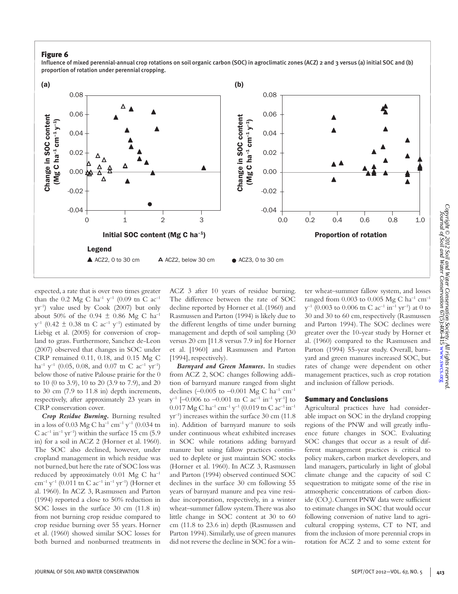Influence of mixed perennial-annual crop rotations on soil organic carbon (SOC) in agroclimatic zones (ACZ) 2 and 3 versus (a) initial SOC and (b) proportion of rotation under perennial cropping.



expected, a rate that is over two times greater than the 0.2 Mg C ha<sup>-1</sup> y<sup>-1</sup> (0.09 tn C ac<sup>-1</sup> yr–1) value used by Cook (2007) but only about 50% of the 0.94  $\pm$  0.86 Mg C ha<sup>-1</sup>  $y^{-1}$  (0.42  $\pm$  0.38 tn C ac<sup>-1</sup> y<sup>-1</sup>) estimated by Liebig et al. (2005) for conversion of cropland to grass. Furthermore, Sanchez de-Leon (2007) observed that changes in SOC under CRP remained 0.11, 0.18, and 0.15 Mg C ha<sup>-1</sup> y<sup>-1</sup> (0.05, 0.08, and 0.07 tn C ac<sup>-1</sup> yr<sup>-1</sup>) below those of native Palouse prairie for the 0 to 10 (0 to 3.9), 10 to 20 (3.9 to 7.9), and 20 to 30 cm (7.9 to 11.8 in) depth increments, respectively, after approximately 23 years in CRP conservation cover.

*Crop Residue Burning.* Burning resulted in a loss of 0.03 Mg C ha<sup>-1</sup> cm<sup>-1</sup> y<sup>-1</sup> (0.034 tn C  $ac^{-1}$  in<sup>-1</sup> yr<sup>-1</sup>) within the surface 15 cm (5.9) in) for a soil in ACZ 2 (Horner et al. 1960). The SOC also declined, however, under cropland management in which residue was not burned, but here the rate of SOC loss was reduced by approximately  $0.01$  Mg C ha<sup>-1</sup> cm<sup>-1</sup> y<sup>-1</sup> (0.011 tn C ac<sup>-1</sup> in<sup>-1</sup> yr<sup>-1</sup>) (Horner et al. 1960). In ACZ 3, Rasmussen and Parton (1994) reported a close to 50% reduction in SOC losses in the surface 30 cm (11.8 in) from not burning crop residue compared to crop residue burning over 55 years. Horner et al. (1960) showed similar SOC losses for both burned and nonburned treatments in ACZ 3 after 10 years of residue burning. The difference between the rate of SOC decline reported by Horner et al. (1960) and Rasmussen and Parton (1994) is likely due to the different lengths of time under burning management and depth of soil sampling (30 versus 20 cm [11.8 versus 7.9 in] for Horner et al. [1960] and Rasmussen and Parton [1994], respectively).

*Barnyard and Green Manures.* In studies from ACZ 2, SOC changes following addition of barnyard manure ranged from slight declines (-0.005 to -0.001 Mg C ha<sup>-1</sup> cm<sup>-1</sup>  $y^{-1}$  [-0.006 to -0.001 tn C ac<sup>-1</sup> in<sup>-1</sup> yr<sup>-1</sup>] to 0.017 Mg C ha<sup>-1</sup> cm<sup>-1</sup> y<sup>-1</sup> (0.019 tn C ac<sup>-1</sup> in<sup>-1</sup> yr–1) increases within the surface 30 cm (11.8 in). Addition of barnyard manure to soils under continuous wheat exhibited increases in SOC while rotations adding barnyard manure but using fallow practices continued to deplete or just maintain SOC stocks (Horner et al. 1960). In ACZ 3, Rasmussen and Parton (1994) observed continued SOC declines in the surface 30 cm following 55 years of barnyard manure and pea vine residue incorporation, respectively, in a winter wheat–summer fallow system. There was also little change in SOC content at 30 to 60 cm (11.8 to 23.6 in) depth (Rasmussen and Parton 1994). Similarly, use of green manures did not reverse the decline in SOC for a win-

ter wheat–summer fallow system, and losses ranged from 0.003 to 0.005 Mg C ha<sup>-1</sup> cm<sup>-1</sup>  $y^{-1}$  (0.003 to 0.006 tn C ac<sup>-1</sup> in<sup>-1</sup> yr<sup>-1</sup>) at 0 to 30 and 30 to 60 cm, respectively (Rasmussen and Parton 1994). The SOC declines were greater over the 10-year study by Horner et al. (1960) compared to the Rasmussen and Parton (1994) 55-year study. Overall, barnyard and green manures increased SOC, but rates of change were dependent on other management practices, such as crop rotation and inclusion of fallow periods.

#### Summary and Conclusions

Agricultural practices have had considerable impact on SOC in the dryland cropping regions of the PNW and will greatly influence future changes in SOC. Evaluating SOC changes that occur as a result of different management practices is critical to policy makers, carbon market developers, and land managers, particularly in light of global climate change and the capacity of soil C sequestration to mitigate some of the rise in atmospheric concentrations of carbon dioxide (CO<sub>2</sub>). Current PNW data were sufficient to estimate changes in SOC that would occur following conversion of native land to agricultural cropping systems, CT to NT, and from the inclusion of more perennial crops in rotation for ACZ 2 and to some extent for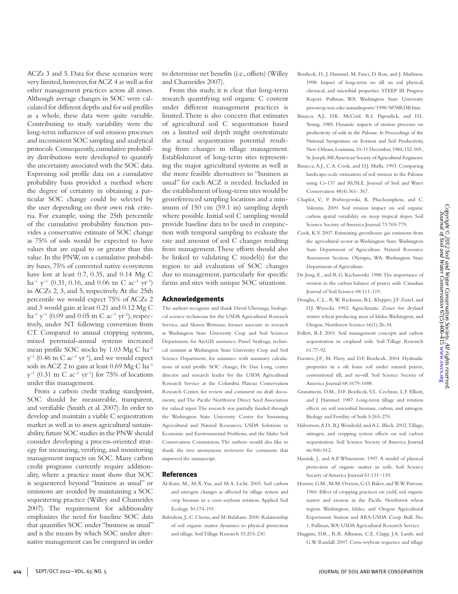Bezdicek, D., J. Hammel, M. Fauci, D. Roe, and J. Mathison.

America Journal 68:1679-1688. Granatstein, D.M., D.F. Bezdicek, V.L. Cochran, L.F. Elliott, and J. Hammel. 1987. Long-term tillage and rotation effects on soil microbial biomass, carbon, and nitrogen. Biology and Fertility of Soils 5:265-270.

Department of Agriculture.

61:77-92.

- Halvorson, A.D., B.J. Weinhold, and A.L. Black. 2002. Tillage, nitrogen, and cropping system effects on soil carbon sequestration. Soil Science Society of America Journal 66:906-912.
- Hassink, J., and A.P. Whitemore. 1997. A model of physical protection of organic matter in soils. Soil Science Society of America Journal 61:131−139.
- Horner, G.M., M.M. Oveson, G.O. Baker, and W.W. Pawson. 1960. Effect of cropping practices on yield, soil organic matter and erosion in the Pacific Northwest wheat region. Washington, Idaho, and Oregon Agricultural Experiment Station and ARS-USDA Coop. Bull. No. 1. Pullman, WA: USDA Agricultural Research Service.
- Huggins, D.R., R.R. Allmaras, C.E. Clapp, J.A. Lamb, and G.W. Randall. 2007. Corn-soybean sequence and tillage

ACZs 3 and 5. Data for these scenarios were very limited, however, for ACZ 4 as well as for other management practices across all zones. Although average changes in SOC were calculated for different depths and for soil profiles as a whole, these data were quite variable. Contributing to study variability were the long-term influences of soil erosion processes and inconsistent SOC sampling and analytical protocols. Consequently, cumulative probability distributions were developed to quantify the uncertainty associated with the SOC data. Expressing soil profile data on a cumulative probability basis provided a method where the degree of certainty in obtaining a particular SOC change could be selected by the user depending on their own risk criteria. For example, using the 25th percentile of the cumulative probability function provides a conservative estimate of SOC change as 75% of soils would be expected to have values that are equal to or greater than this value. In the PNW, on a cumulative probability bases, 75% of converted native ecosystems have lost at least 0.7, 0.35, and 0.14 Mg C ha<sup>-1</sup> y<sup>-1</sup> (0.31, 0.16, and 0.06 tn C ac<sup>-1</sup> yr<sup>-1</sup>) in ACZs 2, 3, and 5, respectively. At the 25th percentile we would expect 75% of ACZs 2 and 3 would gain at least 0.21 and 0.12 Mg C ha<sup>-1</sup> y<sup>-1</sup> (0.09 and 0.05 tn C ac<sup>-1</sup> yr<sup>-1</sup>), respectively, under NT following conversion from CT. Compared to annual cropping systems, mixed perennial-annual systems increased mean profile SOC stocks by 1.03 Mg C ha–1  $y^{-1}$  (0.46 tn C ac<sup>-1</sup> yr<sup>-1</sup>), and we would expect soils in ACZ 2 to gain at least  $0.69$  Mg C ha<sup>-1</sup>  $y^{-1}$  (0.31 tn C ac<sup>-1</sup> yr<sup>-1</sup>) for 75% of locations under this management.

From a carbon credit trading standpoint, SOC should be measureable, transparent, and verifiable (Smith et al. 2007). In order to develop and maintain a viable C sequestration market as well as to assess agricultural sustainability, future SOC studies in the PNW should consider developing a process-oriented strategy for measuring, verifying, and monitoring management impacts on SOC. Many carbon credit programs currently require additionality, where a practice must show that SOC is sequestered beyond "business as usual" or emissions are avoided by maintaining a SOC sequestering practice (Willey and Chameides 2007). The requirement for additionality emphasizes the need for baseline SOC data that quantifies SOC under "business as usual" and is the means by which SOC under alternative management can be compared in order

to determine net benefits (i.e., offsets) (Willey and Chameides 2007).

From this study, it is clear that long-term research quantifying soil organic C content under different management practices is limited. There is also concern that estimates of agricultural soil C sequestration based on a limited soil depth might overestimate the actual sequestration potential resulting from changes in tillage management. Establishment of long-term sites representing the major agricultural systems as well as the more feasible alternatives to "business as usual" for each ACZ is needed. Included in the establishment of long-term sites would be georeferenced sampling locations and a minimum of 150 cm (59.1 in) sampling depth where possible. Initial soil C sampling would provide baseline data to be used in conjunction with temporal sampling to evaluate the rate and amount of soil C changes resulting from management. These efforts should also be linked to validating C model(s) for the region to aid evaluation of SOC changes due to management, particularly for specific farms and sites with unique SOC situations.

#### Acknowledgements

The authors recognize and thank David Uberuaga, biological science technician for the USDA Agricultural Research Service, and Shawn Wetterau, former associate in research at Washington State University Crop and Soil Sciences Department, for ArcGIS assistance; Pawel Szafruga, technical assistant at Washington State University Crop and Soil Science Department, for assistance with summary calculations of total profile SOC change; Dr. Dan Long, center director and research leader for the USDA Agricultural Research Service at the Columbia Plateau Conservation Research Center, for review and comment on draft documents; and The Pacific Northwest Direct Seed Association for valued input. The research was partially funded through the Washington State University Center for Sustaining Agricultural and Natural Resources, USDA Solutions to Economic and Environmental Problems, and the Idaho Soil Conservation Commission. The authors would also like to thank the two anonymous reviewers for comments that improved the manuscript.

#### References

- Al-Kaisi, M., M.X. Yin, and M.A. Licht. 2005. Soil carbon and nitrogen changes as affected by tillage system and crop biomass in a corn-soybean rotation. Applied Soil Ecology 30:174-191.
- Balesdent, J., C. Chenu, and M. Balabane. 2000. Relationship of soil organic matter dynamics to physical protection and tillage. Soil Tillage Research 53:215-230.